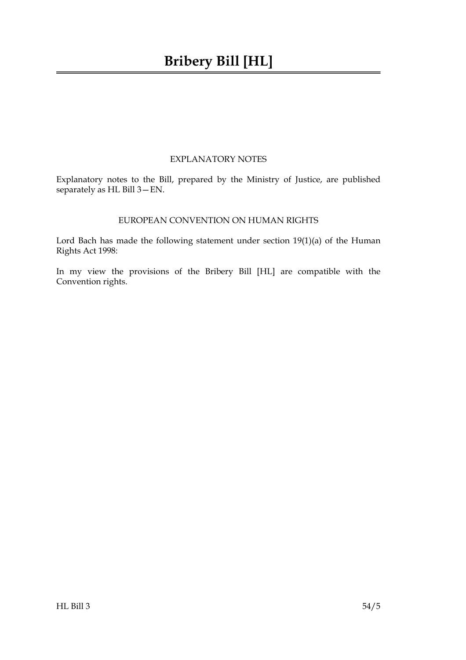# EXPLANATORY NOTES

Explanatory notes to the Bill, prepared by the Ministry of Justice, are published separately as HL Bill 3—EN.

# EUROPEAN CONVENTION ON HUMAN RIGHTS

Lord Bach has made the following statement under section 19(1)(a) of the Human Rights Act 1998:

In my view the provisions of the Bribery Bill [HL] are compatible with the Convention rights.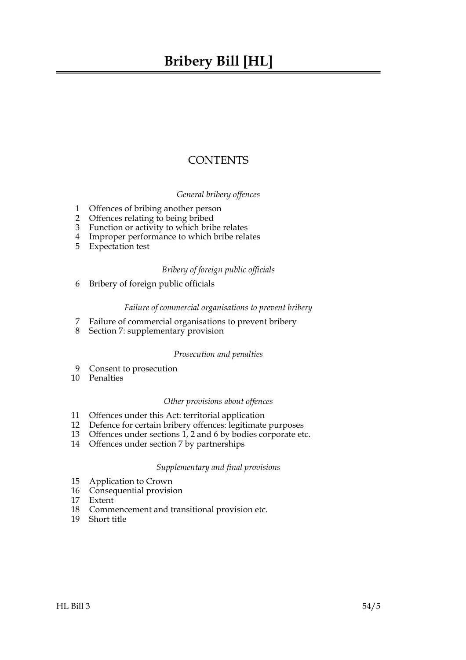# **Bribery Bill [HL]**

# **CONTENTS**

## *General bribery offences*

- 1 Offences of bribing another person
- 2 Offences relating to being bribed
- 3 Function or activity to which bribe relates
- 4 Improper performance to which bribe relates
- 5 Expectation test

## *Bribery of foreign public officials*

6 Bribery of foreign public officials

#### *Failure of commercial organisations to prevent bribery*

- 7 Failure of commercial organisations to prevent bribery
- 8 Section 7: supplementary provision

#### *Prosecution and penalties*

- 9 Consent to prosecution
- 10 Penalties

#### *Other provisions about offences*

- 11 Offences under this Act: territorial application
- 12 Defence for certain bribery offences: legitimate purposes
- 13 Offences under sections 1, 2 and 6 by bodies corporate etc.
- 14 Offences under section 7 by partnerships

## *Supplementary and final provisions*

- 15 Application to Crown
- 16 Consequential provision
- 17 Extent
- 18 Commencement and transitional provision etc.
- 19 Short title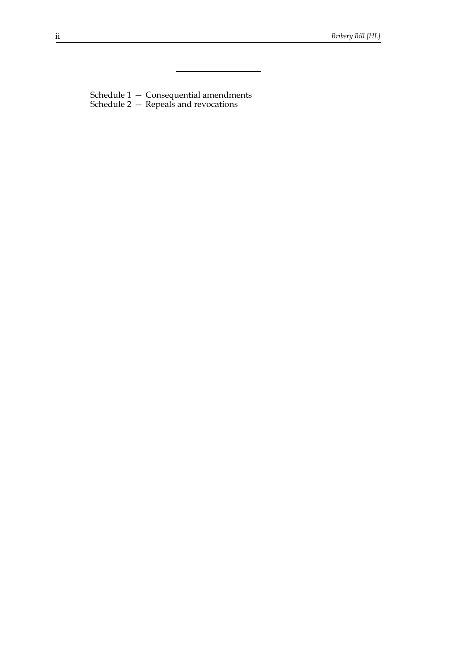Schedule 1 — Consequential amendments Schedule 2 — Repeals and revocations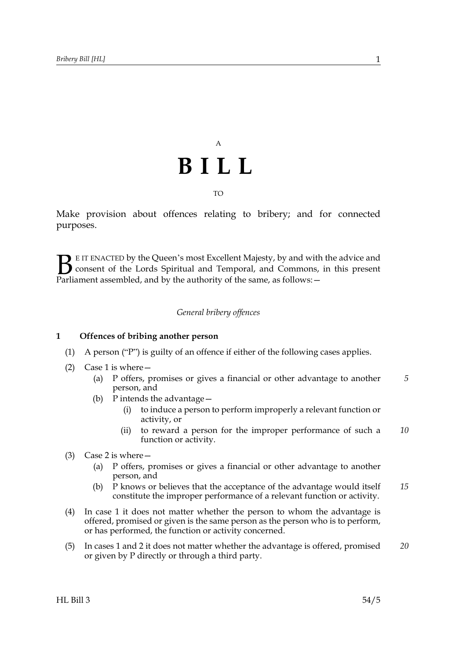# A **BILL**

TO

Make provision about offences relating to bribery; and for connected purposes.

E IT ENACTED by the Queen's most Excellent Majesty, by and with the advice and consent of the Lords Spiritual and Temporal, and Commons, in this present **B** E IT ENACTED by the Queen's most Excellent Majesty, by and with consent of the Lords Spiritual and Temporal, and Commons, Parliament assembled, and by the authority of the same, as follows:

## *General bribery offences*

#### **1 Offences of bribing another person**

- (1) A person ("P") is guilty of an offence if either of the following cases applies.
- (2) Case 1 is where  $-$ 
	- (a) P offers, promises or gives a financial or other advantage to another person, and *5*
	- (b) P intends the advantage—
		- (i) to induce a person to perform improperly a relevant function or activity, or
		- (ii) to reward a person for the improper performance of such a function or activity. *10*
- (3) Case 2 is where—
	- (a) P offers, promises or gives a financial or other advantage to another person, and
	- (b) P knows or believes that the acceptance of the advantage would itself constitute the improper performance of a relevant function or activity. *15*
- (4) In case 1 it does not matter whether the person to whom the advantage is offered, promised or given is the same person as the person who is to perform, or has performed, the function or activity concerned.
- (5) In cases 1 and 2 it does not matter whether the advantage is offered, promised or given by P directly or through a third party. *20*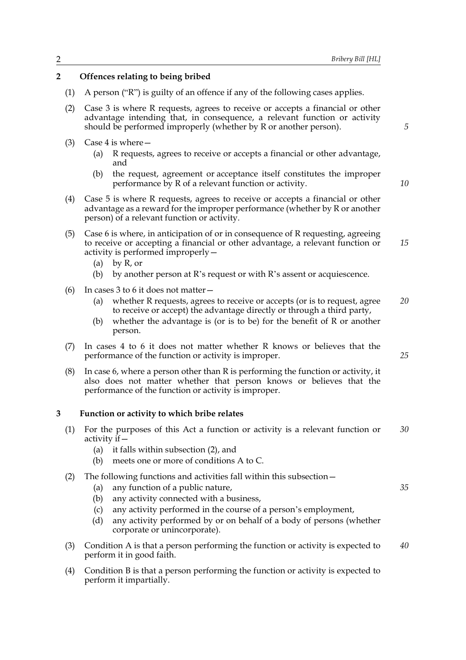## **2 Offences relating to being bribed**

- (1) A person ("R") is guilty of an offence if any of the following cases applies.
- (2) Case 3 is where R requests, agrees to receive or accepts a financial or other advantage intending that, in consequence, a relevant function or activity should be performed improperly (whether by R or another person).
- (3) Case 4 is where—
	- (a) R requests, agrees to receive or accepts a financial or other advantage, and
	- (b) the request, agreement or acceptance itself constitutes the improper performance by R of a relevant function or activity.
- (4) Case 5 is where R requests, agrees to receive or accepts a financial or other advantage as a reward for the improper performance (whether by R or another person) of a relevant function or activity.
- (5) Case 6 is where, in anticipation of or in consequence of R requesting, agreeing to receive or accepting a financial or other advantage, a relevant function or activity is performed improperly— *15*
	- (a) by R, or
	- (b) by another person at R's request or with R's assent or acquiescence.
- (6) In cases 3 to 6 it does not matter—
	- (a) whether R requests, agrees to receive or accepts (or is to request, agree to receive or accept) the advantage directly or through a third party, *20*
	- (b) whether the advantage is (or is to be) for the benefit of R or another person.
- (7) In cases 4 to 6 it does not matter whether R knows or believes that the performance of the function or activity is improper.
- (8) In case 6, where a person other than R is performing the function or activity, it also does not matter whether that person knows or believes that the performance of the function or activity is improper.

#### **3 Function or activity to which bribe relates**

- (1) For the purposes of this Act a function or activity is a relevant function or activity  $if$  – *30*
	- (a) it falls within subsection (2), and
	- (b) meets one or more of conditions A to C.
- (2) The following functions and activities fall within this subsection—
	- (a) any function of a public nature,
	- (b) any activity connected with a business,
	- (c) any activity performed in the course of a person's employment,
	- (d) any activity performed by or on behalf of a body of persons (whether corporate or unincorporate).
- (3) Condition A is that a person performing the function or activity is expected to perform it in good faith. *40*
- (4) Condition B is that a person performing the function or activity is expected to perform it impartially.

*10*

*25*

*35*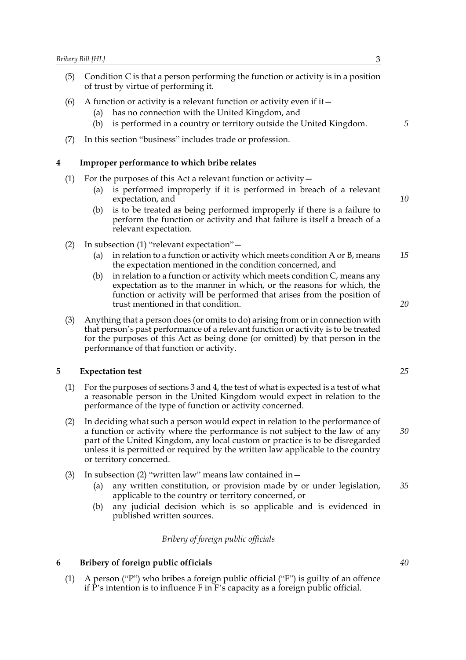- (5) Condition C is that a person performing the function or activity is in a position of trust by virtue of performing it.
- (6) A function or activity is a relevant function or activity even if it  $-$ 
	- (a) has no connection with the United Kingdom, and
	- (b) is performed in a country or territory outside the United Kingdom.
- (7) In this section "business" includes trade or profession.

#### **4 Improper performance to which bribe relates**

- (1) For the purposes of this Act a relevant function or activity  $-$ 
	- (a) is performed improperly if it is performed in breach of a relevant expectation, and
	- (b) is to be treated as being performed improperly if there is a failure to perform the function or activity and that failure is itself a breach of a relevant expectation.
- (2) In subsection (1) "relevant expectation"—
	- (a) in relation to a function or activity which meets condition A or B, means the expectation mentioned in the condition concerned, and *15*
	- (b) in relation to a function or activity which meets condition  $C$ , means any expectation as to the manner in which, or the reasons for which, the function or activity will be performed that arises from the position of trust mentioned in that condition.
- (3) Anything that a person does (or omits to do) arising from or in connection with that person's past performance of a relevant function or activity is to be treated for the purposes of this Act as being done (or omitted) by that person in the performance of that function or activity.

#### **5 Expectation test**

- (1) For the purposes of sections 3 and 4, the test of what is expected is a test of what a reasonable person in the United Kingdom would expect in relation to the performance of the type of function or activity concerned.
- (2) In deciding what such a person would expect in relation to the performance of a function or activity where the performance is not subject to the law of any part of the United Kingdom, any local custom or practice is to be disregarded unless it is permitted or required by the written law applicable to the country or territory concerned. *30*
- (3) In subsection (2) "written law" means law contained in—
	- (a) any written constitution, or provision made by or under legislation, applicable to the country or territory concerned, or
	- (b) any judicial decision which is so applicable and is evidenced in published written sources.

#### *Bribery of foreign public officials*

#### **6 Bribery of foreign public officials**

(1) A person ("P") who bribes a foreign public official ("F") is guilty of an offence if P's intention is to influence F in F's capacity as a foreign public official.

*5*

*10*

*20*

*35*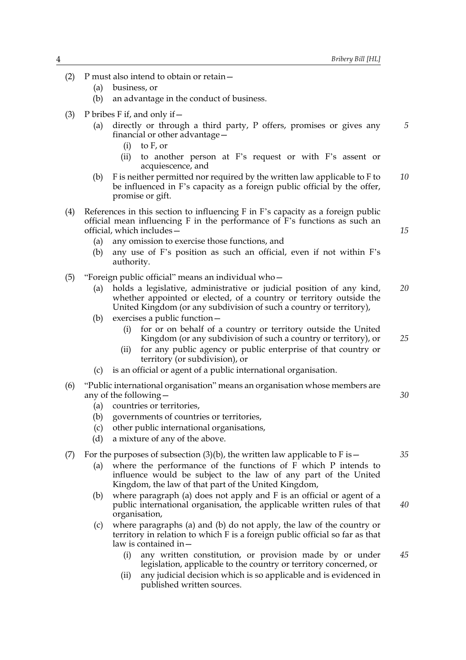*5*

*15*

*25*

*30*

- (2) P must also intend to obtain or retain—
	- (a) business, or
	- (b) an advantage in the conduct of business.
- (3) P bribes F if, and only if  $-$ 
	- (a) directly or through a third party, P offers, promises or gives any financial or other advantage—
		- (i) to F, or
		- (ii) to another person at F's request or with F's assent or acquiescence, and
	- (b) F is neither permitted nor required by the written law applicable to F to be influenced in F's capacity as a foreign public official by the offer, promise or gift. *10*
- (4) References in this section to influencing F in F's capacity as a foreign public official mean influencing F in the performance of F's functions as such an official, which includes—
	- (a) any omission to exercise those functions, and
	- (b) any use of F's position as such an official, even if not within F's authority.
- (5) "Foreign public official" means an individual who—
	- (a) holds a legislative, administrative or judicial position of any kind, whether appointed or elected, of a country or territory outside the United Kingdom (or any subdivision of such a country or territory), *20*
	- (b) exercises a public function—
		- (i) for or on behalf of a country or territory outside the United Kingdom (or any subdivision of such a country or territory), or
		- (ii) for any public agency or public enterprise of that country or territory (or subdivision), or
	- (c) is an official or agent of a public international organisation.
- (6) "Public international organisation" means an organisation whose members are any of the following—
	- (a) countries or territories,
	- (b) governments of countries or territories,
	- (c) other public international organisations,
	- (d) a mixture of any of the above.

#### (7) For the purposes of subsection (3)(b), the written law applicable to F is  $-$

- (a) where the performance of the functions of F which P intends to influence would be subject to the law of any part of the United Kingdom, the law of that part of the United Kingdom,
- (b) where paragraph (a) does not apply and F is an official or agent of a public international organisation, the applicable written rules of that organisation,
- (c) where paragraphs (a) and (b) do not apply, the law of the country or territory in relation to which F is a foreign public official so far as that law is contained in—
	- (i) any written constitution, or provision made by or under legislation, applicable to the country or territory concerned, or *45*
	- (ii) any judicial decision which is so applicable and is evidenced in published written sources.

*35*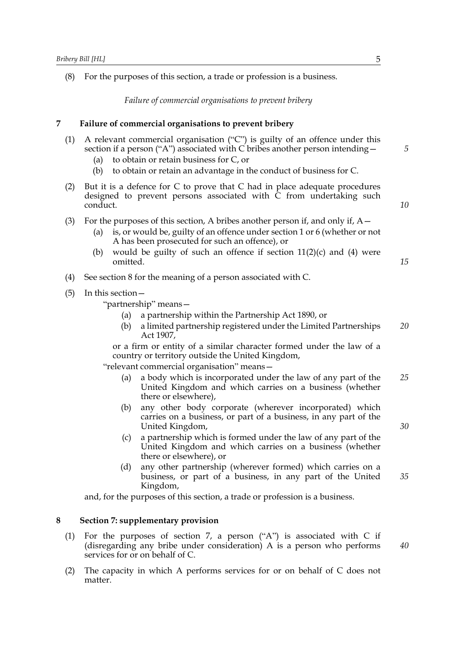(8) For the purposes of this section, a trade or profession is a business.

*Failure of commercial organisations to prevent bribery*

#### **7 Failure of commercial organisations to prevent bribery**

- (1) A relevant commercial organisation ("C") is guilty of an offence under this section if a person ("A") associated with C bribes another person intending  $-$ 
	- (a) to obtain or retain business for C, or
	- (b) to obtain or retain an advantage in the conduct of business for C.
- (2) But it is a defence for C to prove that C had in place adequate procedures designed to prevent persons associated with  $\overline{C}$  from undertaking such conduct.
- (3) For the purposes of this section, A bribes another person if, and only if,  $A-$ 
	- (a) is, or would be, guilty of an offence under section 1 or 6 (whether or not A has been prosecuted for such an offence), or
	- (b) would be guilty of such an offence if section  $11(2)(c)$  and  $(4)$  were omitted.
- (4) See section 8 for the meaning of a person associated with C.
- (5) In this section—

"partnership" means—

- (a) a partnership within the Partnership Act 1890, or
- (b) a limited partnership registered under the Limited Partnerships Act 1907, *20*

or a firm or entity of a similar character formed under the law of a country or territory outside the United Kingdom,

"relevant commercial organisation" means—

- (a) a body which is incorporated under the law of any part of the United Kingdom and which carries on a business (whether there or elsewhere), *25*
- (b) any other body corporate (wherever incorporated) which carries on a business, or part of a business, in any part of the United Kingdom,
- (c) a partnership which is formed under the law of any part of the United Kingdom and which carries on a business (whether there or elsewhere), or
- (d) any other partnership (wherever formed) which carries on a business, or part of a business, in any part of the United Kingdom, *35*

and, for the purposes of this section, a trade or profession is a business.

#### **8 Section 7: supplementary provision**

- (1) For the purposes of section 7, a person ("A") is associated with C if (disregarding any bribe under consideration) A is a person who performs services for or on behalf of C.
- (2) The capacity in which A performs services for or on behalf of C does not matter.

*5*

*10*

*15*

*30*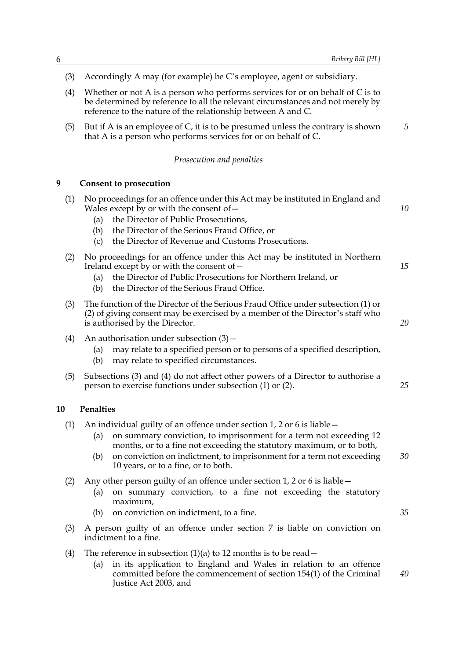*5*

- (3) Accordingly A may (for example) be C's employee, agent or subsidiary.
- (4) Whether or not A is a person who performs services for or on behalf of C is to be determined by reference to all the relevant circumstances and not merely by reference to the nature of the relationship between A and C.
- (5) But if A is an employee of C, it is to be presumed unless the contrary is shown that A is a person who performs services for or on behalf of C.

#### *Prosecution and penalties*

#### **9 Consent to prosecution**

| (1) | No proceedings for an offence under this Act may be instituted in England and<br>Wales except by or with the consent of $-$<br>the Director of Public Prosecutions,<br>(a)<br>the Director of the Serious Fraud Office, or<br>(b)<br>the Director of Revenue and Customs Prosecutions.<br>(c)                                                       | 10 |
|-----|-----------------------------------------------------------------------------------------------------------------------------------------------------------------------------------------------------------------------------------------------------------------------------------------------------------------------------------------------------|----|
| (2) | No proceedings for an offence under this Act may be instituted in Northern<br>Ireland except by or with the consent of $-$<br>the Director of Public Prosecutions for Northern Ireland, or<br>(a)<br>the Director of the Serious Fraud Office.<br>(b)                                                                                               | 15 |
| (3) | The function of the Director of the Serious Fraud Office under subsection (1) or<br>(2) of giving consent may be exercised by a member of the Director's staff who<br>is authorised by the Director.                                                                                                                                                |    |
| (4) | An authorisation under subsection $(3)$ –<br>may relate to a specified person or to persons of a specified description,<br>(a)<br>may relate to specified circumstances.<br>(b)                                                                                                                                                                     |    |
| (5) | Subsections (3) and (4) do not affect other powers of a Director to authorise a<br>person to exercise functions under subsection (1) or (2).                                                                                                                                                                                                        | 25 |
| 10  | Penalties                                                                                                                                                                                                                                                                                                                                           |    |
| (1) | An individual guilty of an offence under section 1, 2 or 6 is liable –<br>on summary conviction, to imprisonment for a term not exceeding 12<br>(a)<br>months, or to a fine not exceeding the statutory maximum, or to both,<br>on conviction on indictment, to imprisonment for a term not exceeding<br>(b)<br>10 years, or to a fine, or to both. | 30 |
| (2) | Any other person guilty of an offence under section 1, 2 or 6 is liable $-$<br>on summary conviction, to a fine not exceeding the statutory<br>(a)<br>maximum,                                                                                                                                                                                      |    |
|     | on conviction on indictment, to a fine.                                                                                                                                                                                                                                                                                                             | 35 |
| (3) | (b)<br>A person guilty of an offence under section 7 is liable on conviction on<br>indictment to a fine.                                                                                                                                                                                                                                            |    |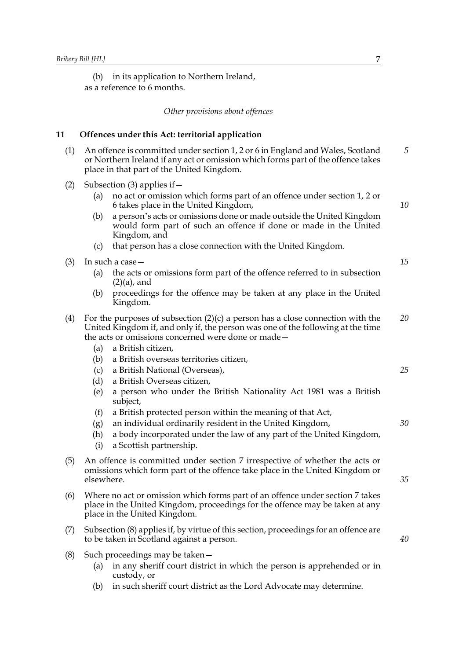(b) in its application to Northern Ireland, as a reference to 6 months.

*Other provisions about offences*

#### **11 Offences under this Act: territorial application**

- (1) An offence is committed under section 1, 2 or 6 in England and Wales, Scotland or Northern Ireland if any act or omission which forms part of the offence takes place in that part of the United Kingdom. *5*
- (2) Subsection (3) applies if—
	- (a) no act or omission which forms part of an offence under section 1, 2 or 6 takes place in the United Kingdom,
	- (b) a person's acts or omissions done or made outside the United Kingdom would form part of such an offence if done or made in the United Kingdom, and
	- (c) that person has a close connection with the United Kingdom.
- (3) In such a case—
	- (a) the acts or omissions form part of the offence referred to in subsection  $(2)(a)$ , and
	- (b) proceedings for the offence may be taken at any place in the United Kingdom.
- (4) For the purposes of subsection  $(2)(c)$  a person has a close connection with the United Kingdom if, and only if, the person was one of the following at the time the acts or omissions concerned were done or made— *20*
	- (a) a British citizen,
	- (b) a British overseas territories citizen,
	- (c) a British National (Overseas),
	- (d) a British Overseas citizen,
	- (e) a person who under the British Nationality Act 1981 was a British subject,
	- (f) a British protected person within the meaning of that Act,
	- (g) an individual ordinarily resident in the United Kingdom,
	- (h) a body incorporated under the law of any part of the United Kingdom,
	- (i) a Scottish partnership.
- (5) An offence is committed under section 7 irrespective of whether the acts or omissions which form part of the offence take place in the United Kingdom or elsewhere.
- (6) Where no act or omission which forms part of an offence under section 7 takes place in the United Kingdom, proceedings for the offence may be taken at any place in the United Kingdom.
- (7) Subsection (8) applies if, by virtue of this section, proceedings for an offence are to be taken in Scotland against a person.
- (8) Such proceedings may be taken—
	- (a) in any sheriff court district in which the person is apprehended or in custody, or
	- (b) in such sheriff court district as the Lord Advocate may determine.

*25*

*30*

*10*

*15*

*35*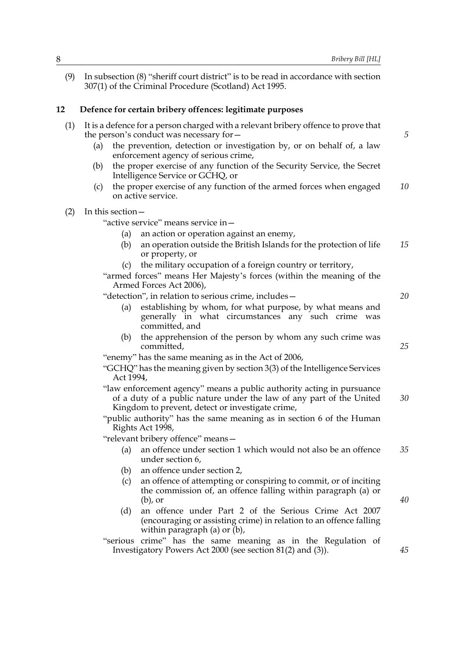(9) In subsection (8) "sheriff court district" is to be read in accordance with section 307(1) of the Criminal Procedure (Scotland) Act 1995.

# **12 Defence for certain bribery offences: legitimate purposes**

| (1) | It is a defence for a person charged with a relevant bribery offence to prove that<br>the person's conduct was necessary for -                                                                    | 5  |
|-----|---------------------------------------------------------------------------------------------------------------------------------------------------------------------------------------------------|----|
|     | the prevention, detection or investigation by, or on behalf of, a law<br>(a)<br>enforcement agency of serious crime,                                                                              |    |
|     | the proper exercise of any function of the Security Service, the Secret<br>(b)<br>Intelligence Service or GCHQ, or                                                                                |    |
|     | the proper exercise of any function of the armed forces when engaged<br>(c)<br>on active service.                                                                                                 | 10 |
| (2) | In this section -                                                                                                                                                                                 |    |
|     | "active service" means service in -                                                                                                                                                               |    |
|     | an action or operation against an enemy,<br>(a)                                                                                                                                                   |    |
|     | an operation outside the British Islands for the protection of life<br>(b)<br>or property, or                                                                                                     | 15 |
|     | the military occupation of a foreign country or territory,<br>(c)                                                                                                                                 |    |
|     | "armed forces" means Her Majesty's forces (within the meaning of the<br>Armed Forces Act 2006),                                                                                                   |    |
|     | "detection", in relation to serious crime, includes-                                                                                                                                              | 20 |
|     | establishing by whom, for what purpose, by what means and<br>(a)<br>generally in what circumstances any such crime was<br>committed, and                                                          |    |
|     | the apprehension of the person by whom any such crime was<br>(b)<br>committed,                                                                                                                    | 25 |
|     | "enemy" has the same meaning as in the Act of 2006,                                                                                                                                               |    |
|     | "GCHQ" has the meaning given by section 3(3) of the Intelligence Services<br>Act 1994,                                                                                                            |    |
|     | "law enforcement agency" means a public authority acting in pursuance<br>of a duty of a public nature under the law of any part of the United<br>Kingdom to prevent, detect or investigate crime, | 30 |
|     | "public authority" has the same meaning as in section 6 of the Human<br>Rights Act 1998,                                                                                                          |    |
|     | "relevant bribery offence" means-                                                                                                                                                                 |    |
|     | an offence under section 1 which would not also be an offence<br>(a)<br>under section 6,                                                                                                          | 35 |
|     | (b) an offence under section 2,                                                                                                                                                                   |    |
|     | an offence of attempting or conspiring to commit, or of inciting<br>(c)<br>the commission of, an offence falling within paragraph (a) or<br>$(b)$ , or                                            | 40 |
|     | an offence under Part 2 of the Serious Crime Act 2007<br>(d)<br>(encouraging or assisting crime) in relation to an offence falling<br>within paragraph (a) or $(b)$ ,                             |    |
|     | "serious crime" has the same meaning as in the Regulation of<br>Investigatory Powers Act 2000 (see section 81(2) and (3)).                                                                        | 45 |
|     |                                                                                                                                                                                                   |    |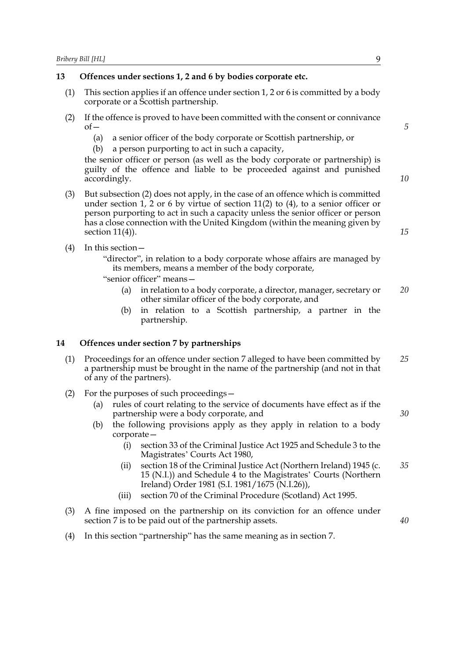#### **13 Offences under sections 1, 2 and 6 by bodies corporate etc.**

- (1) This section applies if an offence under section 1, 2 or 6 is committed by a body corporate or a Scottish partnership.
- (2) If the offence is proved to have been committed with the consent or connivance  $of$ 
	- (a) a senior officer of the body corporate or Scottish partnership, or
	- (b) a person purporting to act in such a capacity,

the senior officer or person (as well as the body corporate or partnership) is guilty of the offence and liable to be proceeded against and punished accordingly.

- (3) But subsection (2) does not apply, in the case of an offence which is committed under section 1, 2 or 6 by virtue of section 11(2) to (4), to a senior officer or person purporting to act in such a capacity unless the senior officer or person has a close connection with the United Kingdom (within the meaning given by section 11(4)).
- (4) In this section—

"director", in relation to a body corporate whose affairs are managed by its members, means a member of the body corporate,

"senior officer" means—

- (a) in relation to a body corporate, a director, manager, secretary or other similar officer of the body corporate, and *20*
- (b) in relation to a Scottish partnership, a partner in the partnership.

#### **14 Offences under section 7 by partnerships**

- (1) Proceedings for an offence under section 7 alleged to have been committed by a partnership must be brought in the name of the partnership (and not in that of any of the partners). *25*
- (2) For the purposes of such proceedings—
	- (a) rules of court relating to the service of documents have effect as if the partnership were a body corporate, and
	- (b) the following provisions apply as they apply in relation to a body corporate—
		- (i) section 33 of the Criminal Justice Act 1925 and Schedule 3 to the Magistrates' Courts Act 1980,
		- (ii) section 18 of the Criminal Justice Act (Northern Ireland) 1945 (c. 15 (N.I.)) and Schedule 4 to the Magistrates' Courts (Northern Ireland) Order 1981 (S.I. 1981/1675 (N.I.26)), *35*
		- (iii) section 70 of the Criminal Procedure (Scotland) Act 1995.
- (3) A fine imposed on the partnership on its conviction for an offence under section 7 is to be paid out of the partnership assets.
- (4) In this section "partnership" has the same meaning as in section 7.

*5*

*10*

*15*

*30*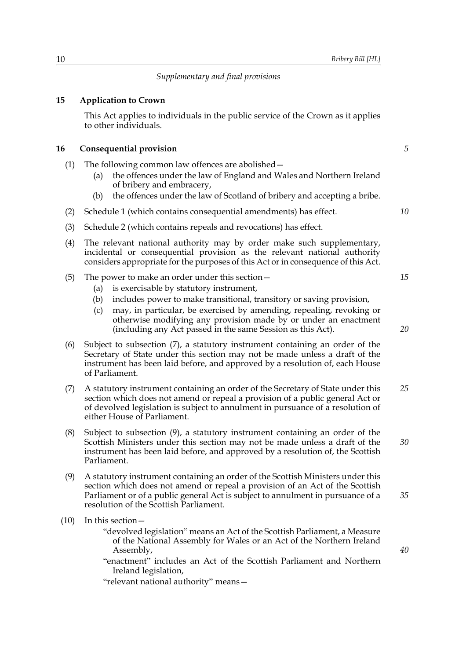#### *Supplementary and final provisions*

#### **15 Application to Crown**

This Act applies to individuals in the public service of the Crown as it applies to other individuals.

#### **16 Consequential provision**

- (1) The following common law offences are abolished—
	- (a) the offences under the law of England and Wales and Northern Ireland of bribery and embracery,
	- (b) the offences under the law of Scotland of bribery and accepting a bribe.
- (2) Schedule 1 (which contains consequential amendments) has effect.
- (3) Schedule 2 (which contains repeals and revocations) has effect.
- (4) The relevant national authority may by order make such supplementary, incidental or consequential provision as the relevant national authority considers appropriate for the purposes of this Act or in consequence of this Act.
- (5) The power to make an order under this section—
	- (a) is exercisable by statutory instrument,
	- (b) includes power to make transitional, transitory or saving provision,
	- (c) may, in particular, be exercised by amending, repealing, revoking or otherwise modifying any provision made by or under an enactment (including any Act passed in the same Session as this Act).
- (6) Subject to subsection (7), a statutory instrument containing an order of the Secretary of State under this section may not be made unless a draft of the instrument has been laid before, and approved by a resolution of, each House of Parliament.
- (7) A statutory instrument containing an order of the Secretary of State under this section which does not amend or repeal a provision of a public general Act or of devolved legislation is subject to annulment in pursuance of a resolution of either House of Parliament. *25*
- (8) Subject to subsection (9), a statutory instrument containing an order of the Scottish Ministers under this section may not be made unless a draft of the instrument has been laid before, and approved by a resolution of, the Scottish Parliament.
- (9) A statutory instrument containing an order of the Scottish Ministers under this section which does not amend or repeal a provision of an Act of the Scottish Parliament or of a public general Act is subject to annulment in pursuance of a resolution of the Scottish Parliament. *35*
- (10) In this section—

"devolved legislation" means an Act of the Scottish Parliament, a Measure of the National Assembly for Wales or an Act of the Northern Ireland Assembly,

"enactment" includes an Act of the Scottish Parliament and Northern Ireland legislation,

"relevant national authority" means—

*5*

*10*

*15*

*20*

*30*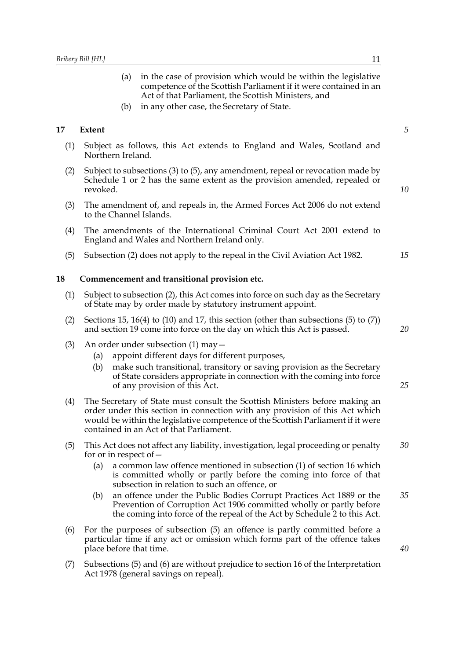- (a) in the case of provision which would be within the legislative competence of the Scottish Parliament if it were contained in an Act of that Parliament, the Scottish Ministers, and
- (b) in any other case, the Secretary of State.

## **17 Extent**

- (1) Subject as follows, this Act extends to England and Wales, Scotland and Northern Ireland.
- (2) Subject to subsections (3) to (5), any amendment, repeal or revocation made by Schedule 1 or 2 has the same extent as the provision amended, repealed or revoked.
- (3) The amendment of, and repeals in, the Armed Forces Act 2006 do not extend to the Channel Islands.
- (4) The amendments of the International Criminal Court Act 2001 extend to England and Wales and Northern Ireland only.
- (5) Subsection (2) does not apply to the repeal in the Civil Aviation Act 1982.

#### **18 Commencement and transitional provision etc.**

- (1) Subject to subsection (2), this Act comes into force on such day as the Secretary of State may by order made by statutory instrument appoint.
- (2) Sections 15, 16(4) to (10) and 17, this section (other than subsections (5) to (7)) and section 19 come into force on the day on which this Act is passed.
- (3) An order under subsection (1) may—
	- (a) appoint different days for different purposes,
	- (b) make such transitional, transitory or saving provision as the Secretary of State considers appropriate in connection with the coming into force of any provision of this Act.
- (4) The Secretary of State must consult the Scottish Ministers before making an order under this section in connection with any provision of this Act which would be within the legislative competence of the Scottish Parliament if it were contained in an Act of that Parliament.
- (5) This Act does not affect any liability, investigation, legal proceeding or penalty for or in respect of— *30*
	- (a) a common law offence mentioned in subsection (1) of section 16 which is committed wholly or partly before the coming into force of that subsection in relation to such an offence, or
	- (b) an offence under the Public Bodies Corrupt Practices Act 1889 or the Prevention of Corruption Act 1906 committed wholly or partly before the coming into force of the repeal of the Act by Schedule 2 to this Act. *35*
- (6) For the purposes of subsection (5) an offence is partly committed before a particular time if any act or omission which forms part of the offence takes place before that time.
- (7) Subsections (5) and (6) are without prejudice to section 16 of the Interpretation Act 1978 (general savings on repeal).

*5*

*10*

*15*

*20*

*25*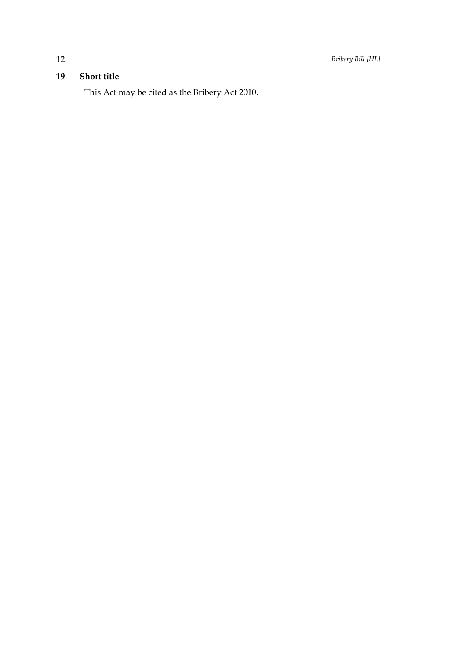# **19 Short title**

This Act may be cited as the Bribery Act 2010.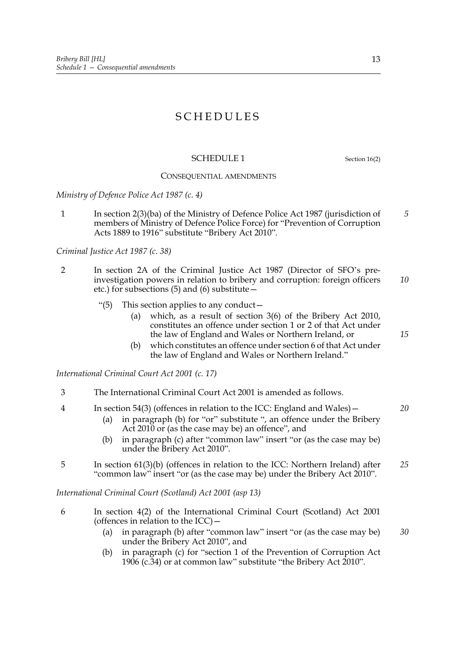# SCHEDULES

## SCHEDULE 1 Section 16(2)

# CONSEQUENTIAL AMENDMENTS

*Ministry of Defence Police Act 1987 (c. 4)*

1 In section 2(3)(ba) of the Ministry of Defence Police Act 1987 (jurisdiction of members of Ministry of Defence Police Force) for "Prevention of Corruption Acts 1889 to 1916" substitute "Bribery Act 2010". *5*

*Criminal Justice Act 1987 (c. 38)*

- 2 In section 2A of the Criminal Justice Act 1987 (Director of SFO's preinvestigation powers in relation to bribery and corruption: foreign officers etc.) for subsections (5) and (6) substitute— *10*
	- "(5) This section applies to any conduct—
		- (a) which, as a result of section 3(6) of the Bribery Act 2010, constitutes an offence under section 1 or 2 of that Act under the law of England and Wales or Northern Ireland, or
		- (b) which constitutes an offence under section 6 of that Act under the law of England and Wales or Northern Ireland."

*International Criminal Court Act 2001 (c. 17)*

- 3 The International Criminal Court Act 2001 is amended as follows.
- 4 In section 54(3) (offences in relation to the ICC: England and Wales)— *20*
	- (a) in paragraph (b) for "or" substitute ", an offence under the Bribery Act 2010 or (as the case may be) an offence", and
	- (b) in paragraph (c) after "common law" insert "or (as the case may be) under the Bribery Act 2010".
- 5 In section 61(3)(b) (offences in relation to the ICC: Northern Ireland) after "common law" insert "or (as the case may be) under the Bribery Act 2010". *25*

*International Criminal Court (Scotland) Act 2001 (asp 13)*

- 6 In section 4(2) of the International Criminal Court (Scotland) Act 2001 (offences in relation to the ICC)—
	- (a) in paragraph (b) after "common law" insert "or (as the case may be) under the Bribery Act 2010", and *30*
	- (b) in paragraph (c) for "section 1 of the Prevention of Corruption Act 1906 (c.34) or at common law" substitute "the Bribery Act 2010".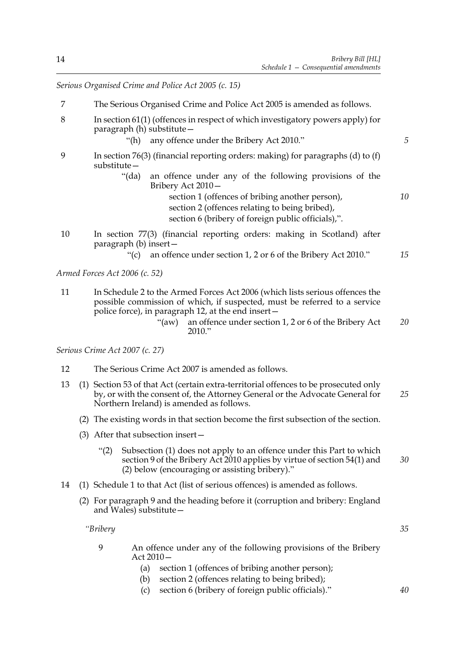*Serious Organised Crime and Police Act 2005 (c. 15)*

- 7 The Serious Organised Crime and Police Act 2005 is amended as follows.
- 8 In section 61(1) (offences in respect of which investigatory powers apply) for paragraph (h) substitute—
	- "(h) any offence under the Bribery Act 2010."
- 9 In section 76(3) (financial reporting orders: making) for paragraphs (d) to (f) substitute—
	- "(da) an offence under any of the following provisions of the Bribery Act 2010
		- section 1 (offences of bribing another person), section 2 (offences relating to being bribed), section 6 (bribery of foreign public officials),".
- 10 In section 77(3) (financial reporting orders: making in Scotland) after paragraph (b) insert—

"(c) an offence under section 1, 2 or 6 of the Bribery Act 2010." *15*

*Armed Forces Act 2006 (c. 52)*

- 11 In Schedule 2 to the Armed Forces Act 2006 (which lists serious offences the possible commission of which, if suspected, must be referred to a service police force), in paragraph 12, at the end insert—
	- "(aw) an offence under section 1, 2 or 6 of the Bribery Act 2010." *20*

*Serious Crime Act 2007 (c. 27)*

- 12 The Serious Crime Act 2007 is amended as follows.
- 13 (1) Section 53 of that Act (certain extra-territorial offences to be prosecuted only by, or with the consent of, the Attorney General or the Advocate General for Northern Ireland) is amended as follows. *25*
	- (2) The existing words in that section become the first subsection of the section.
	- (3) After that subsection insert—
		- "(2) Subsection (1) does not apply to an offence under this Part to which section 9 of the Bribery Act 2010 applies by virtue of section 54(1) and (2) below (encouraging or assisting bribery)." *30*
- 14 (1) Schedule 1 to that Act (list of serious offences) is amended as follows.
	- (2) For paragraph 9 and the heading before it (corruption and bribery: England and Wales) substitute—

*"Bribery*

- 9 An offence under any of the following provisions of the Bribery Act 2010—
	- (a) section 1 (offences of bribing another person);
	- (b) section 2 (offences relating to being bribed);
	- (c) section 6 (bribery of foreign public officials)."

*40*

*35*

*5*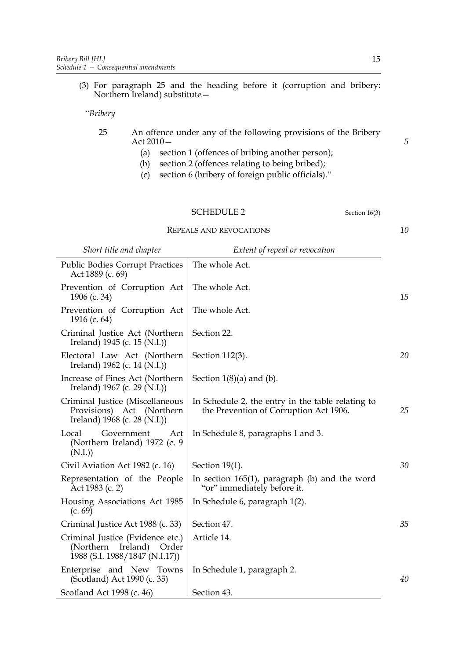(3) For paragraph 25 and the heading before it (corruption and bribery: Northern Ireland) substitute—

*"Bribery*

- 25 An offence under any of the following provisions of the Bribery Act 2010—
	- (a) section 1 (offences of bribing another person);
	- (b) section 2 (offences relating to being bribed);
	- (c) section 6 (bribery of foreign public officials)."

REPEALS AND REVOCATIONS

*Short title and chapter Extent of repeal or revocation*

| <b>Public Bodies Corrupt Practices</b><br>Act 1889 (c. 69)                                        | The whole Act.                                                                              |    |
|---------------------------------------------------------------------------------------------------|---------------------------------------------------------------------------------------------|----|
| Prevention of Corruption Act<br>1906 (c. 34)                                                      | The whole Act.                                                                              | 15 |
| Prevention of Corruption Act<br>1916 (c. $64$ )                                                   | The whole Act.                                                                              |    |
| Criminal Justice Act (Northern<br>Ireland) 1945 (c. 15 (N.I.))                                    | Section 22.                                                                                 |    |
| Electoral Law Act (Northern<br>Ireland) $1962$ (c. 14 (N.I.))                                     | Section 112(3).                                                                             | 20 |
| Increase of Fines Act (Northern)<br>Ireland) 1967 (c. 29 (N.I.))                                  | Section $1(8)(a)$ and $(b)$ .                                                               |    |
| Criminal Justice (Miscellaneous<br>Provisions) Act (Northern<br>Ireland) 1968 (c. 28 (N.I.))      | In Schedule 2, the entry in the table relating to<br>the Prevention of Corruption Act 1906. | 25 |
| Local<br>Government<br>Act<br>(Northern Ireland) 1972 (c. 9<br>(N.I.)                             | In Schedule 8, paragraphs 1 and 3.                                                          |    |
| Civil Aviation Act 1982 (c. 16)                                                                   | Section 19(1).                                                                              | 30 |
| Representation of the People<br>Act 1983 (c. 2)                                                   | In section $165(1)$ , paragraph (b) and the word<br>"or" immediately before it.             |    |
| Housing Associations Act 1985<br>(c. 69)                                                          | In Schedule 6, paragraph 1(2).                                                              |    |
| Criminal Justice Act 1988 (c. 33)                                                                 | Section 47.                                                                                 | 35 |
| Criminal Justice (Evidence etc.)<br>(Northern Ireland)<br>Order<br>1988 (S.I. 1988/1847 (N.I.17)) | Article 14.                                                                                 |    |
|                                                                                                   |                                                                                             |    |
| Enterprise and New Towns<br>(Scotland) Act 1990 (c. 35)                                           | In Schedule 1, paragraph 2.                                                                 | 40 |

*10*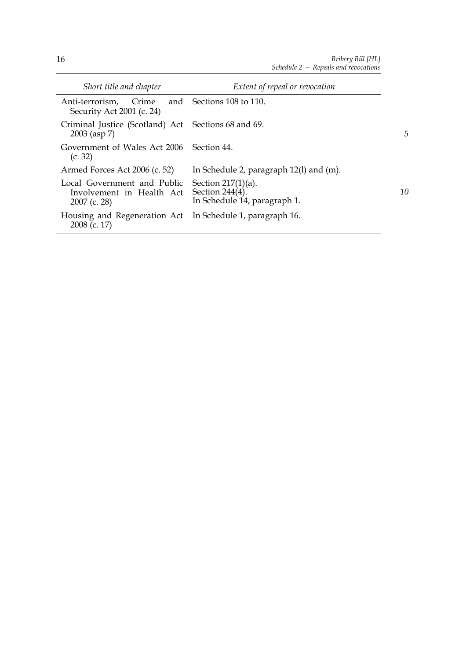| Short title and chapter                                                    | Extent of repeal or revocation                                              |                |
|----------------------------------------------------------------------------|-----------------------------------------------------------------------------|----------------|
| and<br>Anti-terrorism.<br>Crime<br>Security Act 2001 (c. 24)               | Sections 108 to 110.                                                        |                |
| Criminal Justice (Scotland) Act<br>$2003$ (asp 7)                          | Sections 68 and 69.                                                         | $\overline{5}$ |
| Government of Wales Act 2006<br>(c. 32)                                    | Section 44.                                                                 |                |
| Armed Forces Act 2006 (c. 52)                                              | In Schedule 2, paragraph $12(1)$ and $(m)$ .                                |                |
| Local Government and Public<br>Involvement in Health Act<br>$2007$ (c. 28) | Section $217(1)(a)$ .<br>Section $244(4)$ .<br>In Schedule 14, paragraph 1. | 10             |
| Housing and Regeneration Act<br>2008 (c. 17)                               | In Schedule 1, paragraph 16.                                                |                |